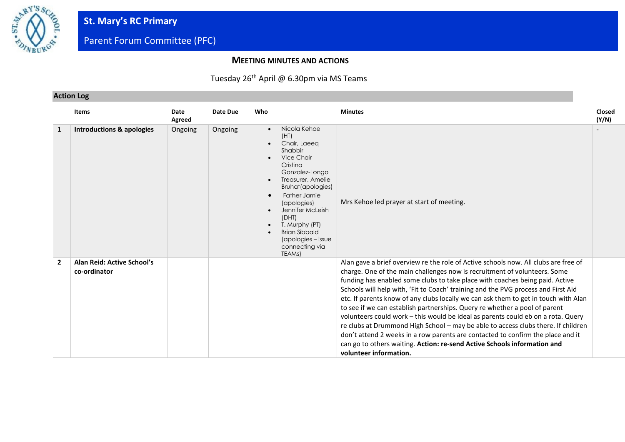

### **MEETING MINUTES AND ACTIONS**

### Tuesday 26<sup>th</sup> April @ 6.30pm via MS Teams

### **Action Log**

|                | <b>Items</b>                               | Date<br>Agreed | Date Due | Who                                                                                                                                                                                                                                                                                                                                                                   | <b>Minutes</b>                                                                                                                                                                                                                                                                                                                                                                                                                                                                                                                                                                                                                                                                                                                                                                                                                                                               | <b>Closed</b><br>(Y/N) |
|----------------|--------------------------------------------|----------------|----------|-----------------------------------------------------------------------------------------------------------------------------------------------------------------------------------------------------------------------------------------------------------------------------------------------------------------------------------------------------------------------|------------------------------------------------------------------------------------------------------------------------------------------------------------------------------------------------------------------------------------------------------------------------------------------------------------------------------------------------------------------------------------------------------------------------------------------------------------------------------------------------------------------------------------------------------------------------------------------------------------------------------------------------------------------------------------------------------------------------------------------------------------------------------------------------------------------------------------------------------------------------------|------------------------|
| 1              | <b>Introductions &amp; apologies</b>       | Ongoing        | Ongoing  | Nicola Kehoe<br>$\bullet$<br>(HT)<br>Chair, Laeea<br>Shabbir<br><b>Vice Chair</b><br>Cristina<br>Gonzalez-Longo<br>Treasurer, Amelie<br>$\bullet$<br>Bruhat(apologies)<br>Father Jamie<br>$\bullet$<br>(apologies)<br>Jennifer McLeish<br>$\bullet$<br>(DHT)<br>T. Murphy (PT)<br>$\bullet$<br><b>Brian Sibbald</b><br>(apologies - issue<br>connecting via<br>TEAMs) | Mrs Kehoe led prayer at start of meeting.                                                                                                                                                                                                                                                                                                                                                                                                                                                                                                                                                                                                                                                                                                                                                                                                                                    |                        |
| $\overline{2}$ | Alan Reid: Active School's<br>co-ordinator |                |          |                                                                                                                                                                                                                                                                                                                                                                       | Alan gave a brief overview re the role of Active schools now. All clubs are free of<br>charge. One of the main challenges now is recruitment of volunteers. Some<br>funding has enabled some clubs to take place with coaches being paid. Active<br>Schools will help with, 'Fit to Coach' training and the PVG process and First Aid<br>etc. If parents know of any clubs locally we can ask them to get in touch with Alan<br>to see if we can establish partnerships. Query re whether a pool of parent<br>volunteers could work - this would be ideal as parents could eb on a rota. Query<br>re clubs at Drummond High School - may be able to access clubs there. If children<br>don't attend 2 weeks in a row parents are contacted to confirm the place and it<br>can go to others waiting. Action: re-send Active Schools information and<br>volunteer information. |                        |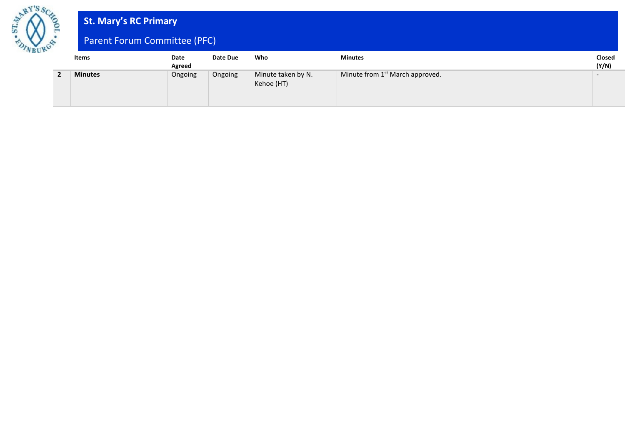

# **St. Mary's RC Primary**

# Parent Forum Committee (PFC)

| Items          | Date<br>Agreed | Date Due | Who                              | <b>Minutes</b>                              | Closed<br>(Y/N) |
|----------------|----------------|----------|----------------------------------|---------------------------------------------|-----------------|
| <b>Minutes</b> | Ongoing        | Ongoing  | Minute taken by N.<br>Kehoe (HT) | Minute from 1 <sup>st</sup> March approved. |                 |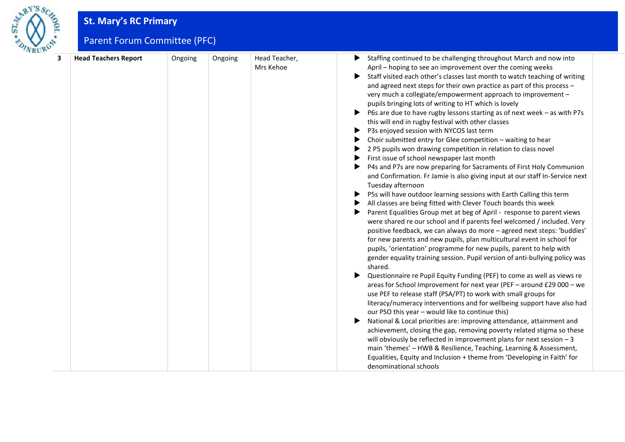

# **St. Mary's RC Primary**

# Parent Forum Committee (PFC)

| 3 | <b>Head Teachers Report</b> | Ongoing | Ongoing | Head Teacher, | Staffing continued to be challenging throughout March and now into<br>▶                                                                       |
|---|-----------------------------|---------|---------|---------------|-----------------------------------------------------------------------------------------------------------------------------------------------|
|   |                             |         |         | Mrs Kehoe     | April - hoping to see an improvement over the coming weeks                                                                                    |
|   |                             |         |         |               | Staff visited each other's classes last month to watch teaching of writing<br>▶                                                               |
|   |                             |         |         |               | and agreed next steps for their own practice as part of this process -                                                                        |
|   |                             |         |         |               | very much a collegiate/empowerment approach to improvement -                                                                                  |
|   |                             |         |         |               | pupils bringing lots of writing to HT which is lovely                                                                                         |
|   |                             |         |         |               | P6s are due to have rugby lessons starting as of next week - as with P7s                                                                      |
|   |                             |         |         |               | this will end in rugby festival with other classes                                                                                            |
|   |                             |         |         |               | P3s enjoyed session with NYCOS last term<br>▶                                                                                                 |
|   |                             |         |         |               | Choir submitted entry for Glee competition - waiting to hear                                                                                  |
|   |                             |         |         |               | 2 P5 pupils won drawing competition in relation to class novel                                                                                |
|   |                             |         |         |               | First issue of school newspaper last month                                                                                                    |
|   |                             |         |         |               | P4s and P7s are now preparing for Sacraments of First Holy Communion                                                                          |
|   |                             |         |         |               | and Confirmation. Fr Jamie is also giving input at our staff In-Service next                                                                  |
|   |                             |         |         |               | Tuesday afternoon                                                                                                                             |
|   |                             |         |         |               | P5s will have outdoor learning sessions with Earth Calling this term                                                                          |
|   |                             |         |         |               | All classes are being fitted with Clever Touch boards this week<br>▶                                                                          |
|   |                             |         |         |               | Parent Equalities Group met at beg of April - response to parent views<br>▶                                                                   |
|   |                             |         |         |               | were shared re our school and if parents feel welcomed / included. Very                                                                       |
|   |                             |         |         |               | positive feedback, we can always do more - agreed next steps: 'buddies'                                                                       |
|   |                             |         |         |               | for new parents and new pupils, plan multicultural event in school for<br>pupils, 'orientation' programme for new pupils, parent to help with |
|   |                             |         |         |               |                                                                                                                                               |
|   |                             |         |         |               | gender equality training session. Pupil version of anti-bullying policy was<br>shared.                                                        |
|   |                             |         |         |               | Questionnaire re Pupil Equity Funding (PEF) to come as well as views re                                                                       |
|   |                             |         |         |               | areas for School Improvement for next year (PEF - around £29 000 - we                                                                         |
|   |                             |         |         |               | use PEF to release staff (PSA/PT) to work with small groups for                                                                               |
|   |                             |         |         |               | literacy/numeracy interventions and for wellbeing support have also had                                                                       |
|   |                             |         |         |               | our PSO this year - would like to continue this)                                                                                              |
|   |                             |         |         |               | National & Local priorities are: improving attendance, attainment and<br>▶                                                                    |
|   |                             |         |         |               | achievement, closing the gap, removing poverty related stigma so these                                                                        |
|   |                             |         |         |               | will obviously be reflected in improvement plans for next session $-3$                                                                        |
|   |                             |         |         |               | main 'themes' - HWB & Resilience, Teaching, Learning & Assessment,                                                                            |
|   |                             |         |         |               | Equalities, Equity and Inclusion + theme from 'Developing in Faith' for                                                                       |
|   |                             |         |         |               | denominational schools                                                                                                                        |